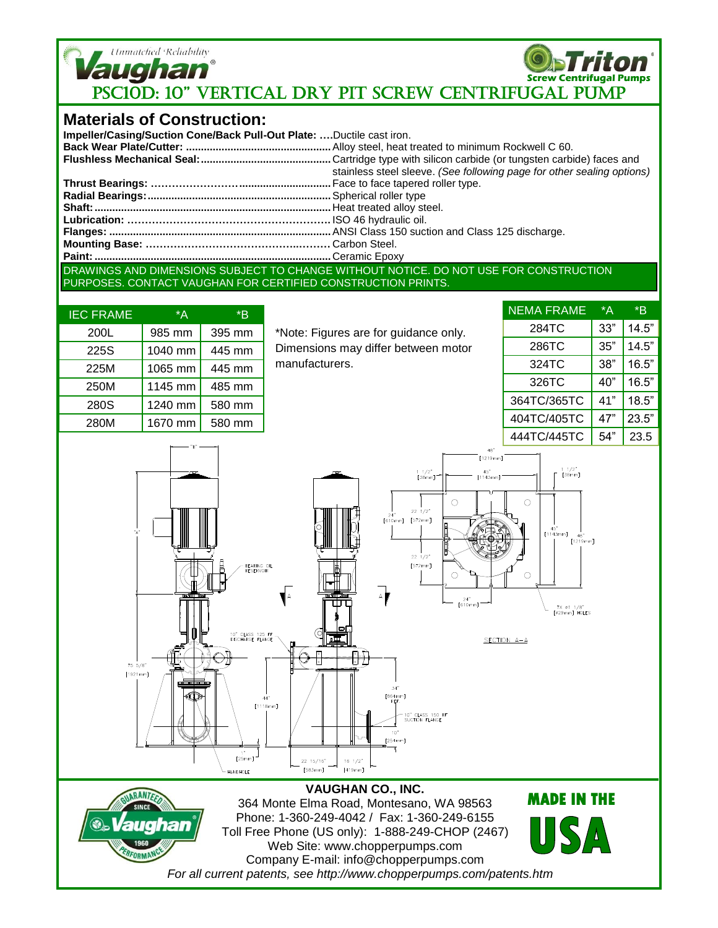

# **Materials of Construction:**

| Impeller/Casing/Suction Cone/Back Pull-Out Plate: Ductile cast iron. |                                                                        |
|----------------------------------------------------------------------|------------------------------------------------------------------------|
|                                                                      |                                                                        |
|                                                                      |                                                                        |
|                                                                      | stainless steel sleeve. (See following page for other sealing options) |
|                                                                      |                                                                        |
|                                                                      |                                                                        |
|                                                                      |                                                                        |
|                                                                      |                                                                        |
|                                                                      |                                                                        |
|                                                                      |                                                                        |

**Mounting Base: ……………………………………..………** Carbon Steel.

**Paint: ................................................................................** Ceramic Epoxy

### DRAWINGS AND DIMENSIONS SUBJECT TO CHANGE WITHOUT NOTICE. DO NOT USE FOR CONSTRUCTION PURPOSES. CONTACT VAUGHAN FOR CERTIFIED CONSTRUCTION PRINTS.

| <b>IEC FRAME</b> | *A      | *R     |
|------------------|---------|--------|
| 200L             | 985 mm  | 395 mm |
| 225S             | 1040 mm | 445 mm |
| 225M             | 1065 mm | 445 mm |
| 250M             | 1145 mm | 485 mm |
| 280S             | 1240 mm | 580 mm |
| 280M             | 1670 mm | 580 mm |
|                  |         |        |

\*Note: Figures are for guidance only. Dimensions may differ between motor manufacturers.

| NEMA FRAME  | *A  | *B    |
|-------------|-----|-------|
| 284TC       | 33" | 14.5" |
| 286TC       | 35" | 14.5" |
| 324TC       | 38" | 16.5" |
| 326TC       | 40" | 16.5" |
| 364TC/365TC | 41" | 18.5" |
| 404TC/405TC | 47" | 23.5" |
| 444TC/445TC | 54" | 23.5  |
|             |     |       |

48'





364 Monte Elma Road, Montesano, WA 98563 Phone: 1-360-249-4042 / Fax: 1-360-249-6155 Toll Free Phone (US only): 1-888-249-CHOP (2467) Web Site: www.chopperpumps.com Company E-mail: info@chopperpumps.com *For all current patents, see http://www.chopperpumps.com/patents.htm*